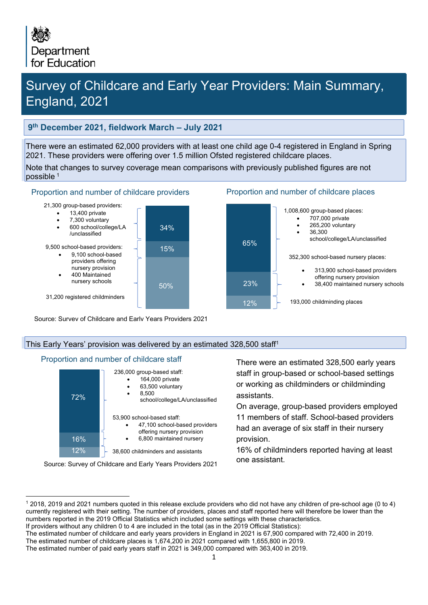# Survey of Childcare and Early Year Providers: Main Summary, England, 2021

### **9th December 2021, fieldwork March – July 2021**

There were an estimated 62,000 providers with at least one child age 0-4 registered in England in Spring 2021. These providers were offering over 1.5 million Ofsted registered childcare places.

Note that changes to survey coverage mean comparisons with previously published figures are not possible [1](#page-0-0)

#### Proportion and number of childcare providers Proportion and number of childcare places

21,300 group-based providers:



- 7,300 voluntary
- 600 school/college/LA /unclassified
- 9,500 school-based providers:
	- 9,100 school-based
	- providers offering nursery provision
	- 400 Maintained nursery schools





31,200 registered childminders

Source: Survey of Childcare and Early Years Providers 2021

#### This Early Years' provision was delivered by an estimated 328,500 staff<sup>1</sup>

#### Proportion and number of childcare staff



Source: Survey of Childcare and Early Years Providers 2021

There were an estimated 328,500 early years staff in group-based or school-based settings or working as childminders or childminding assistants.

On average, group-based providers employed 11 members of staff. School-based providers had an average of six staff in their nursery provision.

16% of childminders reported having at least one assistant.

<span id="page-0-0"></span><sup>1</sup> 2018, 2019 and 2021 numbers quoted in this release exclude providers who did not have any children of pre-school age (0 to 4) currently registered with their setting. The number of providers, places and staff reported here will therefore be lower than the numbers reported in the 2019 Official Statistics which included some settings with these characteristics.

If providers without any children 0 to 4 are included in the total (as in the 2019 Official Statistics):

The estimated number of childcare and early years providers in England in 2021 is 67,900 compared with 72,400 in 2019.

The estimated number of childcare places is 1,674,200 in 2021 compared with 1,655,800 in 2019.

The estimated number of paid early years staff in 2021 is 349,000 compared with 363,400 in 2019.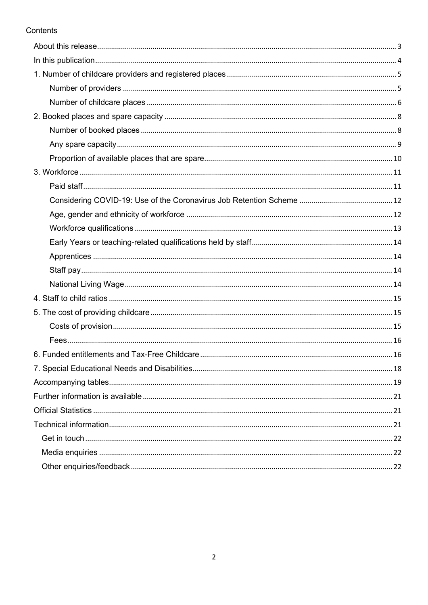### Contents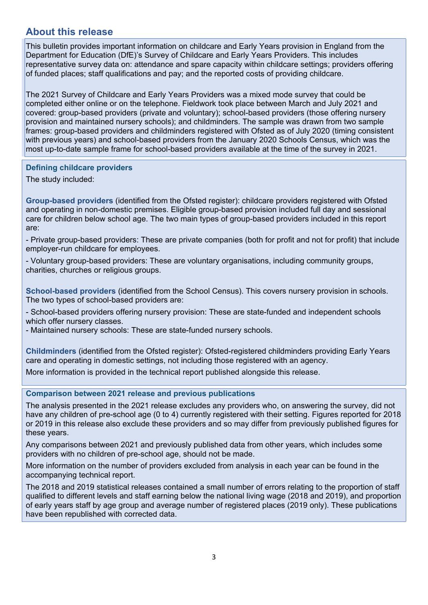### <span id="page-2-0"></span>**About this release**

This bulletin provides important information on childcare and Early Years provision in England from the Department for Education (DfE)'s Survey of Childcare and Early Years Providers. This includes representative survey data on: attendance and spare capacity within childcare settings; providers offering of funded places; staff qualifications and pay; and the reported costs of providing childcare.

The 2021 Survey of Childcare and Early Years Providers was a mixed mode survey that could be completed either online or on the telephone. Fieldwork took place between March and July 2021 and covered: group-based providers (private and voluntary); school-based providers (those offering nursery provision and maintained nursery schools); and childminders. The sample was drawn from two sample frames: group-based providers and childminders registered with Ofsted as of July 2020 (timing consistent with previous years) and school-based providers from the January 2020 Schools Census, which was the most up-to-date sample frame for school-based providers available at the time of the survey in 2021.

#### **Defining childcare providers**

The study included:

**Group-based providers** (identified from the Ofsted register): childcare providers registered with Ofsted and operating in non-domestic premises. Eligible group-based provision included full day and sessional care for children below school age. The two main types of group-based providers included in this report are:

- Private group-based providers: These are private companies (both for profit and not for profit) that include employer-run childcare for employees.

- Voluntary group-based providers: These are voluntary organisations, including community groups, charities, churches or religious groups.

**School-based providers** (identified from the School Census). This covers nursery provision in schools. The two types of school-based providers are:

- School-based providers offering nursery provision: These are state-funded and independent schools which offer nursery classes.

- Maintained nursery schools: These are state-funded nursery schools.

**Childminders** (identified from the Ofsted register): Ofsted-registered childminders providing Early Years care and operating in domestic settings, not including those registered with an agency.

More information is provided in the technical report published alongside this release.

**Comparison between 2021 release and previous publications** 

The analysis presented in the 2021 release excludes any providers who, on answering the survey, did not have any children of pre-school age (0 to 4) currently registered with their setting. Figures reported for 2018 or 2019 in this release also exclude these providers and so may differ from previously published figures for these years.

Any comparisons between 2021 and previously published data from other years, which includes some providers with no children of pre-school age, should not be made.

More information on the number of providers excluded from analysis in each year can be found in the accompanying technical report.

The 2018 and 2019 statistical releases contained a small number of errors relating to the proportion of staff qualified to different levels and staff earning below the national living wage (2018 and 2019), and proportion of early years staff by age group and average number of registered places (2019 only). These publications have been republished with corrected data.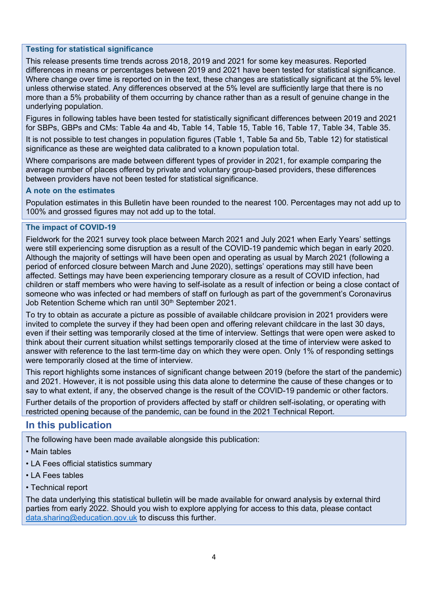#### **Testing for statistical significance**

This release presents time trends across 2018, 2019 and 2021 for some key measures. Reported differences in means or percentages between 2019 and 2021 have been tested for statistical significance. Where change over time is reported on in the text, these changes are statistically significant at the 5% level unless otherwise stated. Any differences observed at the 5% level are sufficiently large that there is no more than a 5% probability of them occurring by chance rather than as a result of genuine change in the underlying population.

Figures in following tables have been tested for statistically significant differences between 2019 and 2021 for SBPs, GBPs and CMs: Table 4a and 4b, Table 14, Table 15, Table 16, Table 17, Table 34, Table 35.

It is not possible to test changes in population figures (Table 1, Table 5a and 5b, Table 12) for statistical significance as these are weighted data calibrated to a known population total.

Where comparisons are made between different types of provider in 2021, for example comparing the average number of places offered by private and voluntary group-based providers, these differences between providers have not been tested for statistical significance.

#### **A note on the estimates**

Population estimates in this Bulletin have been rounded to the nearest 100. Percentages may not add up to 100% and grossed figures may not add up to the total.

#### **The impact of COVID-19**

Fieldwork for the 2021 survey took place between March 2021 and July 2021 when Early Years' settings were still experiencing some disruption as a result of the COVID-19 pandemic which began in early 2020. Although the majority of settings will have been open and operating as usual by March 2021 (following a period of enforced closure between March and June 2020), settings' operations may still have been affected. Settings may have been experiencing temporary closure as a result of COVID infection, had children or staff members who were having to self-isolate as a result of infection or being a close contact of someone who was infected or had members of staff on furlough as part of the government's Coronavirus Job Retention Scheme which ran until 30<sup>th</sup> September 2021.

To try to obtain as accurate a picture as possible of available childcare provision in 2021 providers were invited to complete the survey if they had been open and offering relevant childcare in the last 30 days, even if their setting was temporarily closed at the time of interview. Settings that were open were asked to think about their current situation whilst settings temporarily closed at the time of interview were asked to answer with reference to the last term-time day on which they were open. Only 1% of responding settings were temporarily closed at the time of interview.

This report highlights some instances of significant change between 2019 (before the start of the pandemic) and 2021. However, it is not possible using this data alone to determine the cause of these changes or to say to what extent, if any, the observed change is the result of the COVID-19 pandemic or other factors.

Further details of the proportion of providers affected by staff or children self-isolating, or operating with restricted opening because of the pandemic, can be found in the 2021 Technical Report.

### <span id="page-3-0"></span>**In this publication**

The following have been made available alongside this publication:

- Main tables
- LA Fees official statistics summary
- LA Fees tables
- Technical report

The data underlying this statistical bulletin will be made available for onward analysis by external third parties from early 2022. Should you wish to explore applying for access to this data, please contact [data.sharing@education.gov.uk](mailto:data.sharing@education.gov.uk) to discuss this further.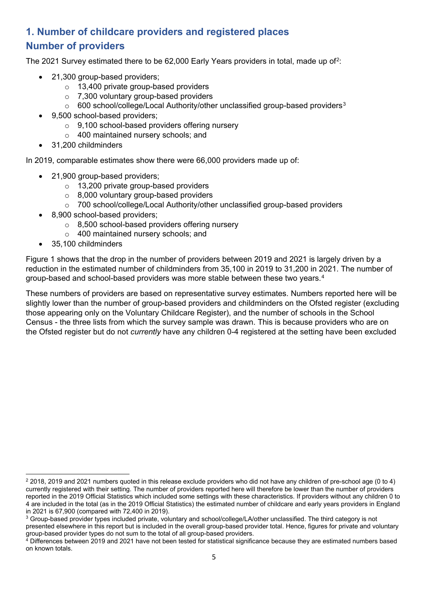### <span id="page-4-1"></span><span id="page-4-0"></span>**1. Number of childcare providers and registered places Number of providers**

The [2](#page-4-2)021 Survey estimated there to be 62,000 Early Years providers in total, made up of<sup>2</sup>:

- 21,300 group-based providers;
	- o 13,400 private group-based providers
	- o 7,300 voluntary group-based providers
	- $\circ$  600 school/college/Local Authority/other unclassified group-based providers<sup>[3](#page-4-3)</sup>
- 9,500 school-based providers;
	- o 9,100 school-based providers offering nursery
	- o 400 maintained nursery schools; and
- 31,200 childminders

In 2019, comparable estimates show there were 66,000 providers made up of:

- 21,900 group-based providers;
	- o 13,200 private group-based providers
	- o 8,000 voluntary group-based providers
	- o 700 school/college/Local Authority/other unclassified group-based providers
- 8,900 school-based providers;
	- o 8,500 school-based providers offering nursery
	- o 400 maintained nursery schools; and
- 35,100 childminders

Figure 1 shows that the drop in the number of providers between 2019 and 2021 is largely driven by a reduction in the estimated number of childminders from 35,100 in 2019 to 31,200 in 2021. The number of group-based and school-based providers was more stable between these two years.[4](#page-4-4)

These numbers of providers are based on representative survey estimates. Numbers reported here will be slightly lower than the number of group-based providers and childminders on the Ofsted register (excluding those appearing only on the Voluntary Childcare Register), and the number of schools in the School Census - the three lists from which the survey sample was drawn. This is because providers who are on the Ofsted register but do not *currently* have any children 0-4 registered at the setting have been excluded

<span id="page-4-2"></span><sup>2</sup> 2018, 2019 and 2021 numbers quoted in this release exclude providers who did not have any children of pre-school age (0 to 4) currently registered with their setting. The number of providers reported here will therefore be lower than the number of providers reported in the 2019 Official Statistics which included some settings with these characteristics. If providers without any children 0 to 4 are included in the total (as in the 2019 Official Statistics) the estimated number of childcare and early years providers in England in 2021 is 67,900 (compared with 72,400 in 2019).

<span id="page-4-3"></span><sup>&</sup>lt;sup>3</sup> Group-based provider types included private, voluntary and school/college/LA/other unclassified. The third category is not presented elsewhere in this report but is included in the overall group-based provider total. Hence, figures for private and voluntary group-based provider types do not sum to the total of all group-based providers.

<span id="page-4-4"></span> $^4$  Differences between 2019 and 2021 have not been tested for statistical significance because they are estimated numbers based on known totals.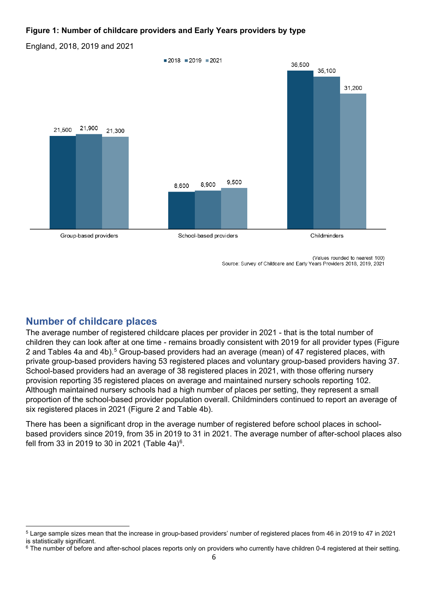#### **Figure 1: Number of childcare providers and Early Years providers by type**

England, 2018, 2019 and 2021



(Values rounded to nearest 100) Source: Survey of Childcare and Early Years Providers 2018, 2019, 2021

### <span id="page-5-0"></span>**Number of childcare places**

The average number of registered childcare places per provider in 2021 - that is the total number of children they can look after at one time - remains broadly consistent with 2019 for all provider types (Figure 2 and Tables 4a and 4b).<sup>5</sup> Group-based providers had an average (mean) of 47 registered places, with private group-based providers having 53 registered places and voluntary group-based providers having 37. School-based providers had an average of 38 registered places in 2021, with those offering nursery provision reporting 35 registered places on average and maintained nursery schools reporting 102. Although maintained nursery schools had a high number of places per setting, they represent a small proportion of the school-based provider population overall. Childminders continued to report an average of six registered places in 2021 (Figure 2 and Table 4b).

There has been a significant drop in the average number of registered before school places in schoolbased providers since 2019, from 35 in 2019 to 31 in 2021. The average number of after-school places also fell from 33 in 2019 to 30 in 2021 (Table  $4a$ )<sup>6</sup>.

<span id="page-5-1"></span><sup>5</sup> Large sample sizes mean that the increase in group-based providers' number of registered places from 46 in 2019 to 47 in 2021 is statistically significant.<br><sup>6</sup> The number of before and after-school places reports only on providers who currently have children 0-4 registered at their setting.

<span id="page-5-2"></span>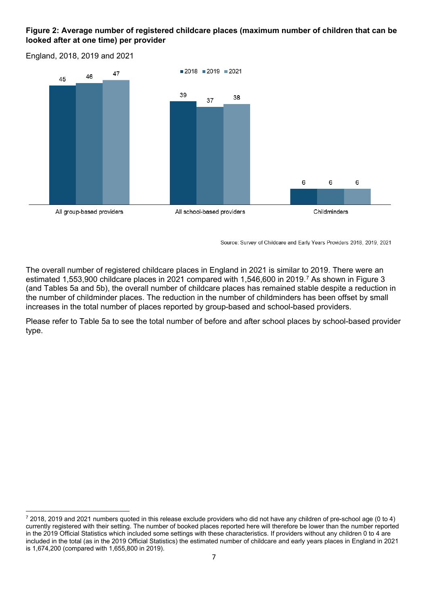#### **Figure 2: Average number of registered childcare places (maximum number of children that can be looked after at one time) per provider**

England, 2018, 2019 and 2021



Source: Survey of Childcare and Early Years Providers 2018, 2019, 2021

The overall number of registered childcare places in England in 2021 is similar to 2019. There were an estimated 1,553,900 childcare places in 2021 compared with 1,546,600 in 2019.[7](#page-6-0) As shown in Figure 3 (and Tables 5a and 5b), the overall number of childcare places has remained stable despite a reduction in the number of childminder places. The reduction in the number of childminders has been offset by small increases in the total number of places reported by group-based and school-based providers.

Please refer to Table 5a to see the total number of before and after school places by school-based provider type.

<span id="page-6-0"></span> $72018$ , 2019 and 2021 numbers quoted in this release exclude providers who did not have any children of pre-school age (0 to 4) currently registered with their setting. The number of booked places reported here will therefore be lower than the number reported in the 2019 Official Statistics which included some settings with these characteristics. If providers without any children 0 to 4 are included in the total (as in the 2019 Official Statistics) the estimated number of childcare and early years places in England in 2021 is 1,674,200 (compared with 1,655,800 in 2019).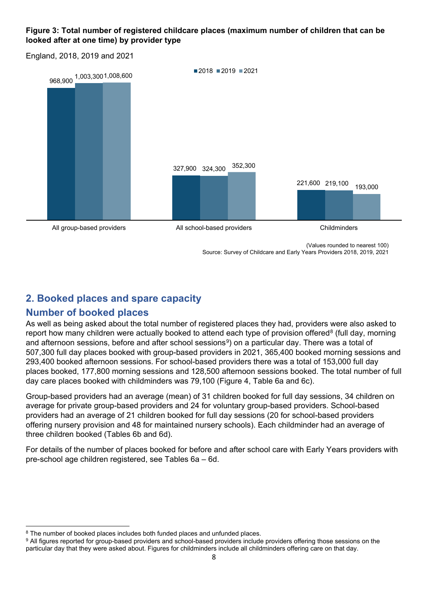#### **Figure 3: Total number of registered childcare places (maximum number of children that can be looked after at one time) by provider type**

England, 2018, 2019 and 2021



Source: Survey of Childcare and Early Years Providers 2018, 2019, 2021

## <span id="page-7-0"></span>**2. Booked places and spare capacity**

### <span id="page-7-1"></span>**Number of booked places**

As well as being asked about the total number of registered places they had, providers were also asked to report how many children were actually booked to attend each type of provision offered<sup>[8](#page-7-2)</sup> (full day, morning and afternoon sessions, before and after school sessions<sup>9</sup>) on a particular day. There was a total of 507,300 full day places booked with group-based providers in 2021, 365,400 booked morning sessions and 293,400 booked afternoon sessions. For school-based providers there was a total of 153,000 full day places booked, 177,800 morning sessions and 128,500 afternoon sessions booked. The total number of full day care places booked with childminders was 79,100 (Figure 4, Table 6a and 6c).

Group-based providers had an average (mean) of 31 children booked for full day sessions, 34 children on average for private group-based providers and 24 for voluntary group-based providers. School-based providers had an average of 21 children booked for full day sessions (20 for school-based providers offering nursery provision and 48 for maintained nursery schools). Each childminder had an average of three children booked (Tables 6b and 6d).

For details of the number of places booked for before and after school care with Early Years providers with pre-school age children registered, see Tables 6a – 6d.

<span id="page-7-2"></span><sup>&</sup>lt;sup>8</sup> The number of booked places includes both funded places and unfunded places.

<span id="page-7-3"></span><sup>&</sup>lt;sup>9</sup> All figures reported for group-based providers and school-based providers include providers offering those sessions on the particular day that they were asked about. Figures for childminders include all childminders offering care on that day.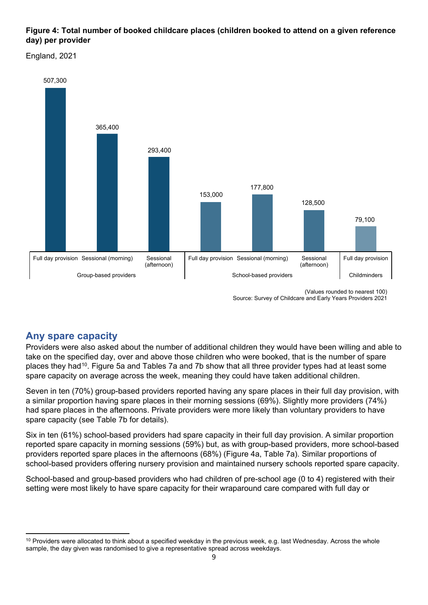#### **Figure 4: Total number of booked childcare places (children booked to attend on a given reference day) per provider**

England, 2021



<sup>(</sup>Values rounded to nearest 100) Source: Survey of Childcare and Early Years Providers 2021

### <span id="page-8-0"></span>**Any spare capacity**

Providers were also asked about the number of additional children they would have been willing and able to take on the specified day, over and above those children who were booked, that is the number of spare places they had[10](#page-8-1). Figure 5a and Tables 7a and 7b show that all three provider types had at least some spare capacity on average across the week, meaning they could have taken additional children.

Seven in ten (70%) group-based providers reported having any spare places in their full day provision, with a similar proportion having spare places in their morning sessions (69%). Slightly more providers (74%) had spare places in the afternoons. Private providers were more likely than voluntary providers to have spare capacity (see Table 7b for details).

Six in ten (61%) school-based providers had spare capacity in their full day provision. A similar proportion reported spare capacity in morning sessions (59%) but, as with group-based providers, more school-based providers reported spare places in the afternoons (68%) (Figure 4a, Table 7a). Similar proportions of school-based providers offering nursery provision and maintained nursery schools reported spare capacity.

School-based and group-based providers who had children of pre-school age (0 to 4) registered with their setting were most likely to have spare capacity for their wraparound care compared with full day or

<span id="page-8-1"></span><sup>&</sup>lt;sup>10</sup> Providers were allocated to think about a specified weekday in the previous week, e.g. last Wednesday. Across the whole sample, the day given was randomised to give a representative spread across weekdays.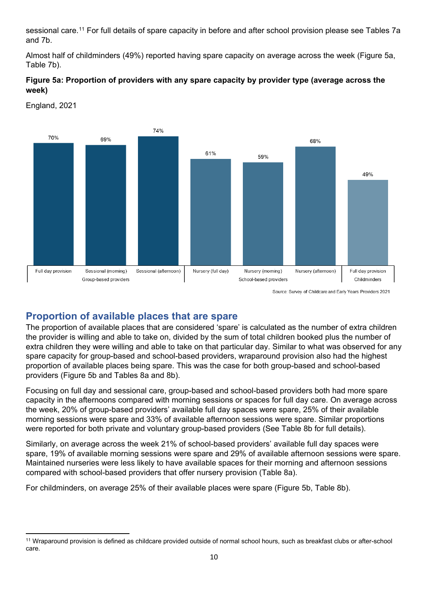sessional care.<sup>[11](#page-9-1)</sup> For full details of spare capacity in before and after school provision please see Tables 7a and 7b.

Almost half of childminders (49%) reported having spare capacity on average across the week (Figure 5a, Table 7b).

#### **Figure 5a: Proportion of providers with any spare capacity by provider type (average across the week)**



England, 2021

### <span id="page-9-0"></span>**Proportion of available places that are spare**

The proportion of available places that are considered 'spare' is calculated as the number of extra children the provider is willing and able to take on, divided by the sum of total children booked plus the number of extra children they were willing and able to take on that particular day. Similar to what was observed for any spare capacity for group-based and school-based providers, wraparound provision also had the highest proportion of available places being spare. This was the case for both group-based and school-based providers (Figure 5b and Tables 8a and 8b).

Focusing on full day and sessional care, group-based and school-based providers both had more spare capacity in the afternoons compared with morning sessions or spaces for full day care. On average across the week, 20% of group-based providers' available full day spaces were spare, 25% of their available morning sessions were spare and 33% of available afternoon sessions were spare. Similar proportions were reported for both private and voluntary group-based providers (See Table 8b for full details).

Similarly, on average across the week 21% of school-based providers' available full day spaces were spare, 19% of available morning sessions were spare and 29% of available afternoon sessions were spare. Maintained nurseries were less likely to have available spaces for their morning and afternoon sessions compared with school-based providers that offer nursery provision (Table 8a).

For childminders, on average 25% of their available places were spare (Figure 5b, Table 8b).

<span id="page-9-1"></span><sup>11</sup> Wraparound provision is defined as childcare provided outside of normal school hours, such as breakfast clubs or after-school care.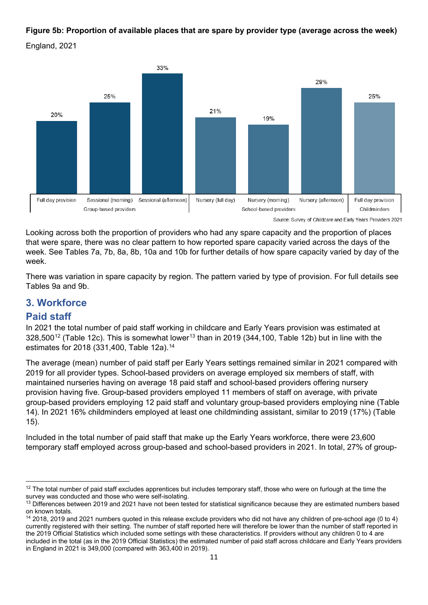### **Figure 5b: Proportion of available places that are spare by provider type (average across the week)**





Looking across both the proportion of providers who had any spare capacity and the proportion of places that were spare, there was no clear pattern to how reported spare capacity varied across the days of the week. See Tables 7a, 7b, 8a, 8b, 10a and 10b for further details of how spare capacity varied by day of the week.

There was variation in spare capacity by region. The pattern varied by type of provision. For full details see Tables 9a and 9b.

### <span id="page-10-0"></span>**3. Workforce**

### <span id="page-10-1"></span>**Paid staff**

In 2021 the total number of paid staff working in childcare and Early Years provision was estimated at  $328,500^{12}$  $328,500^{12}$  $328,500^{12}$  (Table 12c). This is somewhat lower<sup>[13](#page-10-3)</sup> than in 2019 (344,100, Table 12b) but in line with the estimates for 2018 (331,400, Table 12a).[14](#page-10-4)

The average (mean) number of paid staff per Early Years settings remained similar in 2021 compared with 2019 for all provider types. School-based providers on average employed six members of staff, with maintained nurseries having on average 18 paid staff and school-based providers offering nursery provision having five. Group-based providers employed 11 members of staff on average, with private group-based providers employing 12 paid staff and voluntary group-based providers employing nine (Table 14). In 2021 16% childminders employed at least one childminding assistant, similar to 2019 (17%) (Table 15).

Included in the total number of paid staff that make up the Early Years workforce, there were 23,600 temporary staff employed across group-based and school-based providers in 2021. In total, 27% of group-

<span id="page-10-2"></span><sup>&</sup>lt;sup>12</sup> The total number of paid staff excludes apprentices but includes temporary staff, those who were on furlough at the time the survey was conducted and those who were self-isolating.

<span id="page-10-3"></span><sup>&</sup>lt;sup>13</sup> Differences between 2019 and 2021 have not been tested for statistical significance because they are estimated numbers based on known totals.

<span id="page-10-4"></span><sup>14</sup> 2018, 2019 and 2021 numbers quoted in this release exclude providers who did not have any children of pre-school age (0 to 4) currently registered with their setting. The number of staff reported here will therefore be lower than the number of staff reported in the 2019 Official Statistics which included some settings with these characteristics. If providers without any children 0 to 4 are included in the total (as in the 2019 Official Statistics) the estimated number of paid staff across childcare and Early Years providers in England in 2021 is 349,000 (compared with 363,400 in 2019).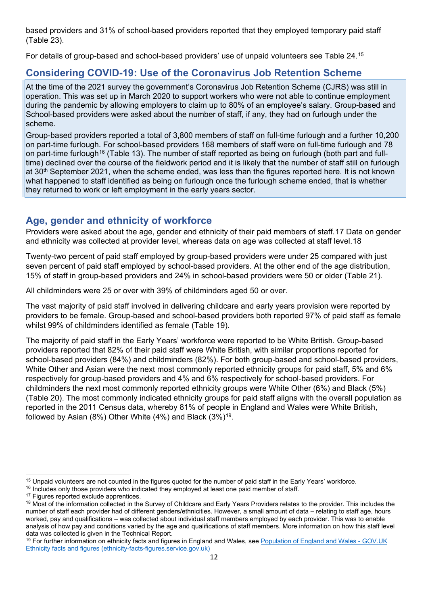based providers and 31% of school-based providers reported that they employed temporary paid staff (Table 23).

For details of group-based and school-based providers' use of unpaid volunteers see Table 24.[15](#page-11-2)

### <span id="page-11-0"></span>**Considering COVID-19: Use of the Coronavirus Job Retention Scheme**

At the time of the 2021 survey the government's Coronavirus Job Retention Scheme (CJRS) was still in operation. This was set up in March 2020 to support workers who were not able to continue employment during the pandemic by allowing employers to claim up to 80% of an employee's salary. Group-based and School-based providers were asked about the number of staff, if any, they had on furlough under the scheme.

Group-based providers reported a total of 3,800 members of staff on full-time furlough and a further 10,200 on part-time furlough. For school-based providers 168 members of staff were on full-time furlough and 78 on part-time furlough[16](#page-11-3) (Table 13). The number of staff reported as being on furlough (both part and fulltime) declined over the course of the fieldwork period and it is likely that the number of staff still on furlough at 30<sup>th</sup> September 2021, when the scheme ended, was less than the figures reported here. It is not known what happened to staff identified as being on furlough once the furlough scheme ended, that is whether they returned to work or left employment in the early years sector.

### <span id="page-11-1"></span>**Age, gender and ethnicity of workforce**

Providers were asked about the age, gender and ethnicity of their paid members of staff.[17](#page-11-4) Data on gender and ethnicity was collected at provider level, whereas data on age was collected at staff level.[18](#page-11-5) 

Twenty-two percent of paid staff employed by group-based providers were under 25 compared with just seven percent of paid staff employed by school-based providers. At the other end of the age distribution, 15% of staff in group-based providers and 24% in school-based providers were 50 or older (Table 21).

All childminders were 25 or over with 39% of childminders aged 50 or over.

The vast majority of paid staff involved in delivering childcare and early years provision were reported by providers to be female. Group-based and school-based providers both reported 97% of paid staff as female whilst 99% of childminders identified as female (Table 19).

The majority of paid staff in the Early Years' workforce were reported to be White British. Group-based providers reported that 82% of their paid staff were White British, with similar proportions reported for school-based providers (84%) and childminders (82%). For both group-based and school-based providers, White Other and Asian were the next most commonly reported ethnicity groups for paid staff, 5% and 6% respectively for group-based providers and 4% and 6% respectively for school-based providers. For childminders the next most commonly reported ethnicity groups were White Other (6%) and Black (5%) (Table 20). The most commonly indicated ethnicity groups for paid staff aligns with the overall population as reported in the 2011 Census data, whereby 81% of people in England and Wales were White British, followed by Asian  $(8\%)$  Other White  $(4\%)$  and Black  $(3\%)^{19}$ .

<span id="page-11-2"></span><sup>&</sup>lt;sup>15</sup> Unpaid volunteers are not counted in the figures quoted for the number of paid staff in the Early Years' workforce.  $16$  Includes only those providers who indicated they employed at least one paid member of staff.

<span id="page-11-5"></span><span id="page-11-4"></span><span id="page-11-3"></span> $17$  Figures reported exclude apprentices.<br> $18$  Most of the information collected in the Survey of Childcare and Early Years Providers relates to the provider. This includes the number of staff each provider had of different genders/ethnicities. However, a small amount of data – relating to staff age, hours worked, pay and qualifications – was collected about individual staff members employed by each provider. This was to enable analysis of how pay and conditions varied by the age and qualifications of staff members. More information on how this staff level

<span id="page-11-6"></span>data was collected is given in the Technical Report.<br><sup>19</sup> For further information on ethnicity facts and figures in England and Wales, see <u>Population of England and Wales - GOV.UK</u> [Ethnicity facts and figures \(ethnicity-facts-figures.service.gov.uk\)](https://www.ethnicity-facts-figures.service.gov.uk/uk-population-by-ethnicity/national-and-regional-populations/population-of-england-and-wales/latest)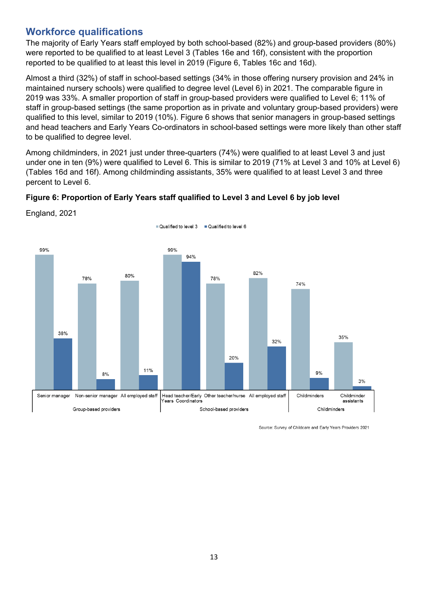### <span id="page-12-0"></span>**Workforce qualifications**

The majority of Early Years staff employed by both school-based (82%) and group-based providers (80%) were reported to be qualified to at least Level 3 (Tables 16e and 16f), consistent with the proportion reported to be qualified to at least this level in 2019 (Figure 6, Tables 16c and 16d).

Almost a third (32%) of staff in school-based settings (34% in those offering nursery provision and 24% in maintained nursery schools) were qualified to degree level (Level 6) in 2021. The comparable figure in 2019 was 33%. A smaller proportion of staff in group-based providers were qualified to Level 6; 11% of staff in group-based settings (the same proportion as in private and voluntary group-based providers) were qualified to this level, similar to 2019 (10%). Figure 6 shows that senior managers in group-based settings and head teachers and Early Years Co-ordinators in school-based settings were more likely than other staff to be qualified to degree level.

Among childminders, in 2021 just under three-quarters (74%) were qualified to at least Level 3 and just under one in ten (9%) were qualified to Level 6. This is similar to 2019 (71% at Level 3 and 10% at Level 6) (Tables 16d and 16f). Among childminding assistants, 35% were qualified to at least Level 3 and three percent to Level 6.

### **Figure 6: Proportion of Early Years staff qualified to Level 3 and Level 6 by job level**



England, 2021

Source: Survey of Childcare and Early Years Providers 2021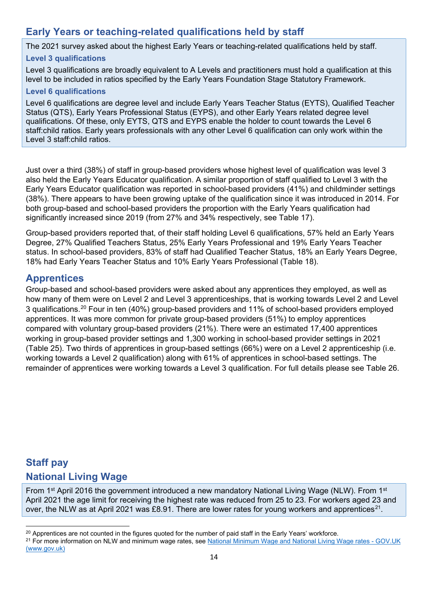### <span id="page-13-0"></span>**Early Years or teaching-related qualifications held by staff**

The 2021 survey asked about the highest Early Years or teaching-related qualifications held by staff.

#### **Level 3 qualifications**

Level 3 qualifications are broadly equivalent to A Levels and practitioners must hold a qualification at this level to be included in ratios specified by the Early Years Foundation Stage Statutory Framework.

#### **Level 6 qualifications**

Level 6 qualifications are degree level and include Early Years Teacher Status (EYTS), Qualified Teacher Status (QTS), Early Years Professional Status (EYPS), and other Early Years related degree level qualifications. Of these, only EYTS, QTS and EYPS enable the holder to count towards the Level 6 staff:child ratios. Early years professionals with any other Level 6 qualification can only work within the Level 3 staff:child ratios.

Just over a third (38%) of staff in group-based providers whose highest level of qualification was level 3 also held the Early Years Educator qualification. A similar proportion of staff qualified to Level 3 with the Early Years Educator qualification was reported in school-based providers (41%) and childminder settings (38%). There appears to have been growing uptake of the qualification since it was introduced in 2014. For both group-based and school-based providers the proportion with the Early Years qualification had significantly increased since 2019 (from 27% and 34% respectively, see Table 17).

Group-based providers reported that, of their staff holding Level 6 qualifications, 57% held an Early Years Degree, 27% Qualified Teachers Status, 25% Early Years Professional and 19% Early Years Teacher status. In school-based providers, 83% of staff had Qualified Teacher Status, 18% an Early Years Degree, 18% had Early Years Teacher Status and 10% Early Years Professional (Table 18).

### <span id="page-13-1"></span>**Apprentices**

Group-based and school-based providers were asked about any apprentices they employed, as well as how many of them were on Level 2 and Level 3 apprenticeships, that is working towards Level 2 and Level 3 qualifications.[20](#page-13-4) Four in ten (40%) group-based providers and 11% of school-based providers employed apprentices. It was more common for private group-based providers (51%) to employ apprentices compared with voluntary group-based providers (21%). There were an estimated 17,400 apprentices working in group-based provider settings and 1,300 working in school-based provider settings in 2021 (Table 25). Two thirds of apprentices in group-based settings (66%) were on a Level 2 apprenticeship (i.e. working towards a Level 2 qualification) along with 61% of apprentices in school-based settings. The remainder of apprentices were working towards a Level 3 qualification. For full details please see Table 26.

### <span id="page-13-3"></span><span id="page-13-2"></span>**Staff pay National Living Wage**

From 1<sup>st</sup> April 2016 the government introduced a new mandatory National Living Wage (NLW). From 1<sup>st</sup> April 2021 the age limit for receiving the highest rate was reduced from 25 to 23. For workers aged 23 and over, the NLW as at April 2021 was £8.91. There are lower rates for young workers and apprentices<sup>21</sup>.

<span id="page-13-4"></span><sup>&</sup>lt;sup>20</sup> Apprentices are not counted in the figures quoted for the number of paid staff in the Early Years' workforce.

<span id="page-13-5"></span><sup>&</sup>lt;sup>21</sup> For more information on NLW and minimum wage rates, see National Minimum Wage and National Living Wage rates - GOV.UK [\(www.gov.uk\)](https://www.gov.uk/national-minimum-wage-rates)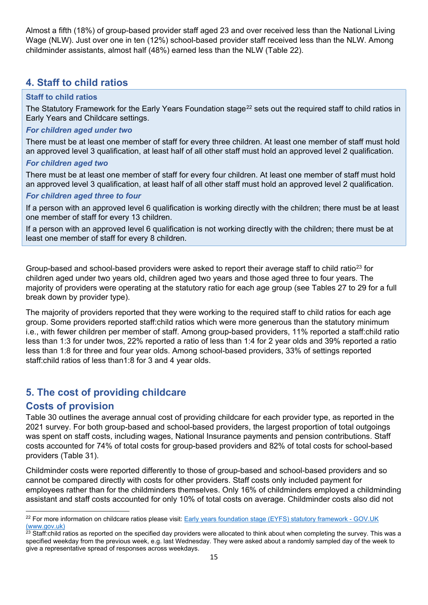Almost a fifth (18%) of group-based provider staff aged 23 and over received less than the National Living Wage (NLW). Just over one in ten (12%) school-based provider staff received less than the NLW. Among childminder assistants, almost half (48%) earned less than the NLW (Table 22).

### <span id="page-14-0"></span>**4. Staff to child ratios**

#### **Staff to child ratios**

The Statutory Framework for the Early Years Foundation stage<sup>[22](#page-14-3)</sup> sets out the required staff to child ratios in Early Years and Childcare settings.

#### *For children aged under two*

There must be at least one member of staff for every three children. At least one member of staff must hold an approved level 3 qualification, at least half of all other staff must hold an approved level 2 qualification.

#### *For children aged two*

There must be at least one member of staff for every four children. At least one member of staff must hold an approved level 3 qualification, at least half of all other staff must hold an approved level 2 qualification.

#### *For children aged three to four*

If a person with an approved level 6 qualification is working directly with the children; there must be at least one member of staff for every 13 children.

If a person with an approved level 6 qualification is not working directly with the children; there must be at least one member of staff for every 8 children.

Group-based and school-based providers were asked to report their average staff to child ratio<sup>[23](#page-14-4)</sup> for children aged under two years old, children aged two years and those aged three to four years. The majority of providers were operating at the statutory ratio for each age group (see Tables 27 to 29 for a full break down by provider type).

The majority of providers reported that they were working to the required staff to child ratios for each age group. Some providers reported staff:child ratios which were more generous than the statutory minimum i.e., with fewer children per member of staff. Among group-based providers, 11% reported a staff:child ratio less than 1:3 for under twos, 22% reported a ratio of less than 1:4 for 2 year olds and 39% reported a ratio less than 1:8 for three and four year olds. Among school-based providers, 33% of settings reported staff:child ratios of less than1:8 for 3 and 4 year olds.

### <span id="page-14-1"></span>**5. The cost of providing childcare**

### <span id="page-14-2"></span>**Costs of provision**

Table 30 outlines the average annual cost of providing childcare for each provider type, as reported in the 2021 survey. For both group-based and school-based providers, the largest proportion of total outgoings was spent on staff costs, including wages, National Insurance payments and pension contributions. Staff costs accounted for 74% of total costs for group-based providers and 82% of total costs for school-based providers (Table 31).

Childminder costs were reported differently to those of group-based and school-based providers and so cannot be compared directly with costs for other providers. Staff costs only included payment for employees rather than for the childminders themselves. Only 16% of childminders employed a childminding assistant and staff costs accounted for only 10% of total costs on average. Childminder costs also did not

<span id="page-14-3"></span><sup>&</sup>lt;sup>22</sup> For more information on childcare ratios please visit: Early years foundation stage (EYFS) statutory framework - GOV.UK (www.gov.uk)

<span id="page-14-4"></span> $23$  Staff:child ratios as reported on the specified day providers were allocated to think about when completing the survey. This was a specified weekday from the previous week, e.g. last Wednesday. They were asked about a randomly sampled day of the week to give a representative spread of responses across weekdays.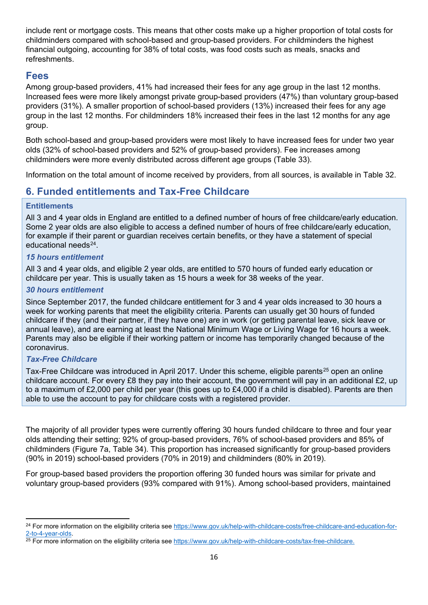include rent or mortgage costs. This means that other costs make up a higher proportion of total costs for childminders compared with school-based and group-based providers. For childminders the highest financial outgoing, accounting for 38% of total costs, was food costs such as meals, snacks and refreshments.

### <span id="page-15-0"></span>**Fees**

Among group-based providers, 41% had increased their fees for any age group in the last 12 months. Increased fees were more likely amongst private group-based providers (47%) than voluntary group-based providers (31%). A smaller proportion of school-based providers (13%) increased their fees for any age group in the last 12 months. For childminders 18% increased their fees in the last 12 months for any age group.

Both school-based and group-based providers were most likely to have increased fees for under two year olds (32% of school-based providers and 52% of group-based providers). Fee increases among childminders were more evenly distributed across different age groups (Table 33).

Information on the total amount of income received by providers, from all sources, is available in Table 32.

### <span id="page-15-1"></span>**6. Funded entitlements and Tax-Free Childcare**

#### **Entitlements**

All 3 and 4 year olds in England are entitled to a defined number of hours of free childcare/early education. Some 2 year olds are also eligible to access a defined number of hours of free childcare/early education, for example if their parent or guardian receives certain benefits, or they have a statement of special educational needs $24$ 

#### *15 hours entitlement*

All 3 and 4 year olds, and eligible 2 year olds, are entitled to 570 hours of funded early education or childcare per year. This is usually taken as 15 hours a week for 38 weeks of the year.

#### *30 hours entitlement*

Since September 2017, the funded childcare entitlement for 3 and 4 year olds increased to 30 hours a week for working parents that meet the eligibility criteria. Parents can usually get 30 hours of funded childcare if they (and their partner, if they have one) are in work (or getting parental leave, sick leave or annual leave), and are earning at least the National Minimum Wage or Living Wage for 16 hours a week. Parents may also be eligible if their working pattern or income has temporarily changed because of the coronavirus.

#### *Tax-Free Childcare*

Tax-Free Childcare was introduced in April 2017. Under this scheme, eligible parents<sup>[25](#page-15-3)</sup> open an online childcare account. For every £8 they pay into their account, the government will pay in an additional £2, up to a maximum of £2,000 per child per year (this goes up to £4,000 if a child is disabled). Parents are then able to use the account to pay for childcare costs with a registered provider.

The majority of all provider types were currently offering 30 hours funded childcare to three and four year olds attending their setting; 92% of group-based providers, 76% of school-based providers and 85% of childminders (Figure 7a, Table 34). This proportion has increased significantly for group-based providers (90% in 2019) school-based providers (70% in 2019) and childminders (80% in 2019).

For group-based based providers the proportion offering 30 funded hours was similar for private and voluntary group-based providers (93% compared with 91%). Among school-based providers, maintained

<span id="page-15-2"></span><sup>&</sup>lt;sup>24</sup> For more information on the eligibility criteria see https://www.gov.uk/help-with-childcare-costs/free-childcare-and-education-for-<br>2-to-4-year-olds.

<span id="page-15-3"></span> $25$  For more information on the eligibility criteria see [https://www.gov.uk/help-with-childcare-costs/tax-free-childcare.](https://www.gov.uk/help-with-childcare-costs/tax-free-childcare)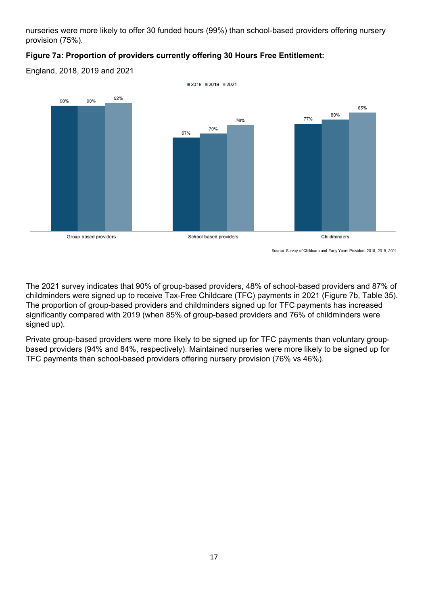nurseries were more likely to offer 30 funded hours (99%) than school-based providers offering nursery provision (75%).

#### **Figure 7a: Proportion of providers currently offering 30 Hours Free Entitlement:**

England, 2018, 2019 and 2021



Source: Survey of Childcare and Early Years Providers 2018, 2019, 2021

The 2021 survey indicates that 90% of group-based providers, 48% of school-based providers and 87% of childminders were signed up to receive Tax-Free Childcare (TFC) payments in 2021 (Figure 7b, Table 35). The proportion of group-based providers and childminders signed up for TFC payments has increased significantly compared with 2019 (when 85% of group-based providers and 76% of childminders were signed up).

Private group-based providers were more likely to be signed up for TFC payments than voluntary groupbased providers (94% and 84%, respectively). Maintained nurseries were more likely to be signed up for TFC payments than school-based providers offering nursery provision (76% vs 46%).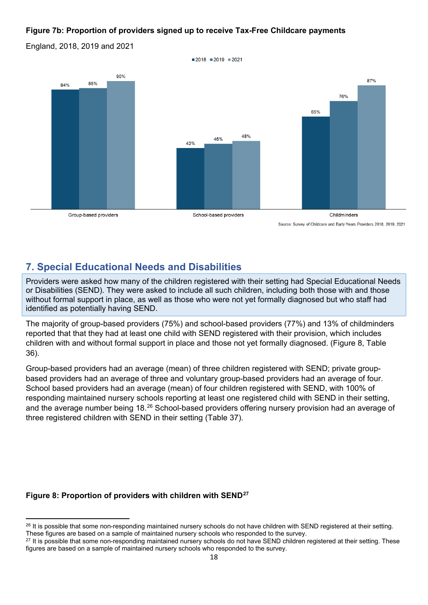#### **Figure 7b: Proportion of providers signed up to receive Tax-Free Childcare payments**

England, 2018, 2019 and 2021



### <span id="page-17-0"></span>**7. Special Educational Needs and Disabilities**

Providers were asked how many of the children registered with their setting had Special Educational Needs or Disabilities (SEND). They were asked to include all such children, including both those with and those without formal support in place, as well as those who were not yet formally diagnosed but who staff had identified as potentially having SEND.

The majority of group-based providers (75%) and school-based providers (77%) and 13% of childminders reported that that they had at least one child with SEND registered with their provision, which includes children with and without formal support in place and those not yet formally diagnosed. (Figure 8, Table 36).

Group-based providers had an average (mean) of three children registered with SEND; private groupbased providers had an average of three and voluntary group-based providers had an average of four. School based providers had an average (mean) of four children registered with SEND, with 100% of responding maintained nursery schools reporting at least one registered child with SEND in their setting, and the average number being 18.[26](#page-17-1) School-based providers offering nursery provision had an average of three registered children with SEND in their setting (Table 37).

#### **Figure 8: Proportion of providers with children with SEND[27](#page-17-2)**

<span id="page-17-1"></span><sup>&</sup>lt;sup>26</sup> It is possible that some non-responding maintained nursery schools do not have children with SEND registered at their setting. These figures are based on a sample of maintained nursery schools who responded to the survey.

<span id="page-17-2"></span><sup>&</sup>lt;sup>27</sup> It is possible that some non-responding maintained nursery schools do not have SEND children registered at their setting. These figures are based on a sample of maintained nursery schools who responded to the survey.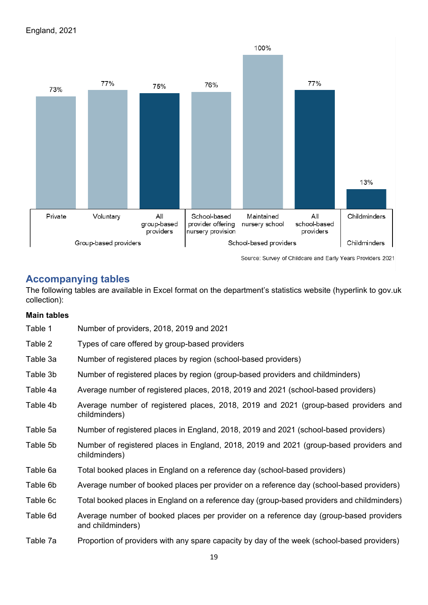

Source: Survey of Childcare and Early Years Providers 2021

### <span id="page-18-0"></span>**Accompanying tables**

The following tables are available in Excel format on the department's statistics website (hyperlink to gov.uk collection):

#### **Main tables**

| Table 1  | Number of providers, 2018, 2019 and 2021                                                                    |
|----------|-------------------------------------------------------------------------------------------------------------|
| Table 2  | Types of care offered by group-based providers                                                              |
| Table 3a | Number of registered places by region (school-based providers)                                              |
| Table 3b | Number of registered places by region (group-based providers and childminders)                              |
| Table 4a | Average number of registered places, 2018, 2019 and 2021 (school-based providers)                           |
| Table 4b | Average number of registered places, 2018, 2019 and 2021 (group-based providers and<br>childminders)        |
| Table 5a | Number of registered places in England, 2018, 2019 and 2021 (school-based providers)                        |
| Table 5b | Number of registered places in England, 2018, 2019 and 2021 (group-based providers and<br>childminders)     |
| Table 6a | Total booked places in England on a reference day (school-based providers)                                  |
| Table 6b | Average number of booked places per provider on a reference day (school-based providers)                    |
| Table 6c | Total booked places in England on a reference day (group-based providers and childminders)                  |
| Table 6d | Average number of booked places per provider on a reference day (group-based providers<br>and childminders) |
| Table 7a | Proportion of providers with any spare capacity by day of the week (school-based providers)                 |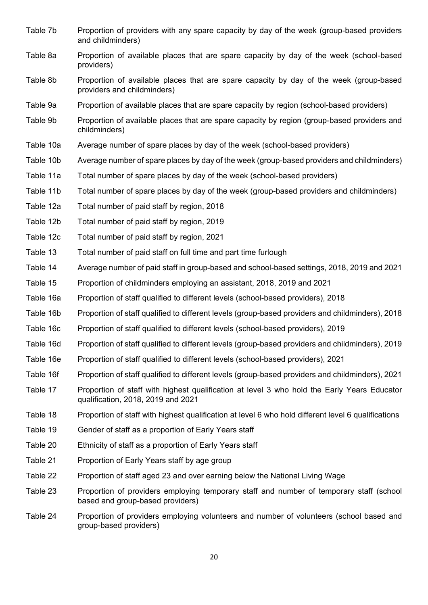- Table 7b Proportion of providers with any spare capacity by day of the week (group-based providers and childminders)
- Table 8a Proportion of available places that are spare capacity by day of the week (school-based providers)
- Table 8b Proportion of available places that are spare capacity by day of the week (group-based providers and childminders)
- Table 9a Proportion of available places that are spare capacity by region (school-based providers)
- Table 9b Proportion of available places that are spare capacity by region (group-based providers and childminders)
- Table 10a Average number of spare places by day of the week (school-based providers)
- Table 10b Average number of spare places by day of the week (group-based providers and childminders)
- Table 11a Total number of spare places by day of the week (school-based providers)
- Table 11b Total number of spare places by day of the week (group-based providers and childminders)
- Table 12a Total number of paid staff by region, 2018
- Table 12b Total number of paid staff by region, 2019
- Table 12c Total number of paid staff by region, 2021
- Table 13 Total number of paid staff on full time and part time furlough
- Table 14 Average number of paid staff in group-based and school-based settings, 2018, 2019 and 2021
- Table 15 Proportion of childminders employing an assistant, 2018, 2019 and 2021
- Table 16a Proportion of staff qualified to different levels (school-based providers), 2018
- Table 16b Proportion of staff qualified to different levels (group-based providers and childminders), 2018
- Table 16c Proportion of staff qualified to different levels (school-based providers), 2019
- Table 16d Proportion of staff qualified to different levels (group-based providers and childminders), 2019
- Table 16e Proportion of staff qualified to different levels (school-based providers), 2021
- Table 16f Proportion of staff qualified to different levels (group-based providers and childminders), 2021
- Table 17 Proportion of staff with highest qualification at level 3 who hold the Early Years Educator qualification, 2018, 2019 and 2021
- Table 18 Proportion of staff with highest qualification at level 6 who hold different level 6 qualifications
- Table 19 Gender of staff as a proportion of Early Years staff
- Table 20 Ethnicity of staff as a proportion of Early Years staff
- Table 21 Proportion of Early Years staff by age group
- Table 22 Proportion of staff aged 23 and over earning below the National Living Wage
- Table 23 Proportion of providers employing temporary staff and number of temporary staff (school based and group-based providers)
- Table 24 Proportion of providers employing volunteers and number of volunteers (school based and group-based providers)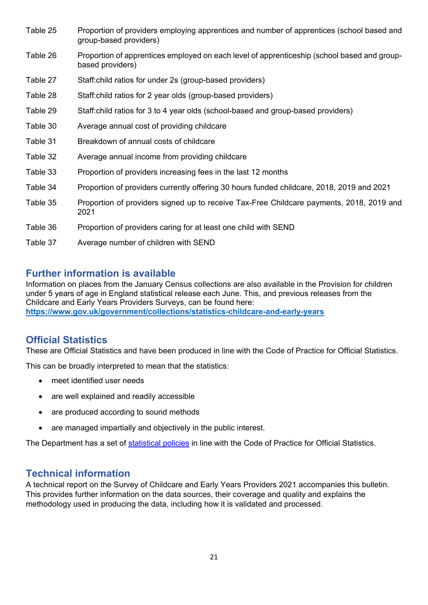- Table 25 Proportion of providers employing apprentices and number of apprentices (school based and group-based providers)
- Table 26 Proportion of apprentices employed on each level of apprenticeship (school based and groupbased providers)
- Table 27 Staff:child ratios for under 2s (group-based providers)
- Table 28 Staff:child ratios for 2 year olds (group-based providers)
- Table 29 Staff:child ratios for 3 to 4 year olds (school-based and group-based providers)
- Table 30 Average annual cost of providing childcare
- Table 31 Breakdown of annual costs of childcare
- Table 32 Average annual income from providing childcare
- Table 33 Proportion of providers increasing fees in the last 12 months
- Table 34 Proportion of providers currently offering 30 hours funded childcare, 2018, 2019 and 2021
- Table 35 Proportion of providers signed up to receive Tax-Free Childcare payments, 2018, 2019 and 2021
- Table 36 Proportion of providers caring for at least one child with SEND
- Table 37 Average number of children with SEND

### <span id="page-20-0"></span>**Further information is available**

Information on places from the January Census collections are also available in the Provision for children under 5 years of age in England statistical release each June. This, and previous releases from the Childcare and Early Years Providers Surveys, can be found here: **<https://www.gov.uk/government/collections/statistics-childcare-and-early-years>**

### <span id="page-20-1"></span>**Official Statistics**

These are Official Statistics and have been produced in line with the Code of Practice for Official Statistics.

This can be broadly interpreted to mean that the statistics:

- meet identified user needs
- are well explained and readily accessible
- are produced according to sound methods
- are managed impartially and objectively in the public interest.

The Department has a set of [statistical policies](http://www.gov.uk/government/publications/standards-for-official-statistics-published-by-the-department-for-education) in line with the Code of Practice for Official Statistics.

### <span id="page-20-2"></span>**Technical information**

A technical report on the Survey of Childcare and Early Years Providers 2021 accompanies this bulletin. This provides further information on the data sources, their coverage and quality and explains the methodology used in producing the data, including how it is validated and processed.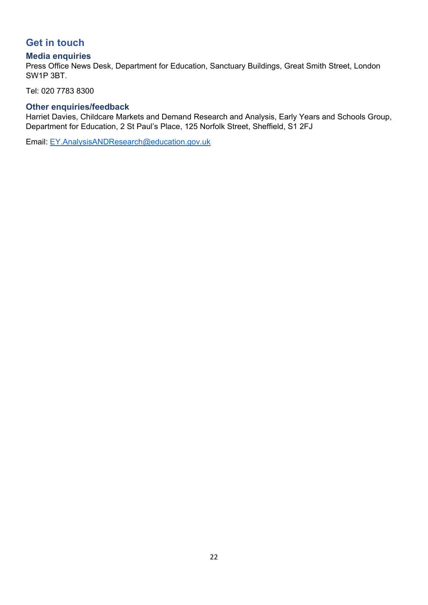### <span id="page-21-0"></span>**Get in touch**

#### <span id="page-21-1"></span>**Media enquiries**

Press Office News Desk, Department for Education, Sanctuary Buildings, Great Smith Street, London SW1P 3BT.

Tel: 020 7783 8300

### <span id="page-21-2"></span>**Other enquiries/feedback**

Harriet Davies, Childcare Markets and Demand Research and Analysis, Early Years and Schools Group, Department for Education, 2 St Paul's Place, 125 Norfolk Street, Sheffield, S1 2FJ

Email: [EY.AnalysisANDResearch@education.gov.uk](mailto:EY.AnalysisANDResearch@education.gov.uk)